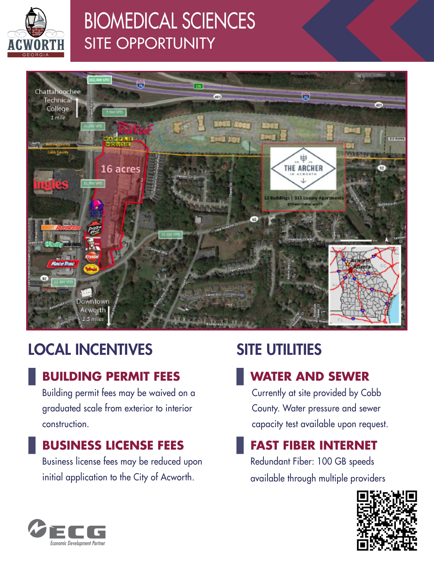

# BIOMEDICAL SCIENCES SITE OPPORTUNITY



# LOCAL INCENTIVES

### **BUILDING PERMIT FEES**

Building permit fees may be waived on a graduated scale from exterior to interior construction.

### **BUSINESS LICENSE FEES**

Business license fees may be reduced upon initial application to the City of Acworth.

# SITE UTILITIES

### **WATER AND SEWER**

Currently at site provided by Cobb County. Water pressure and sewer capacity test available upon request.

### **FAST FIBER INTERNET**

Redundant Fiber: 100 GB speeds available through multiple providers



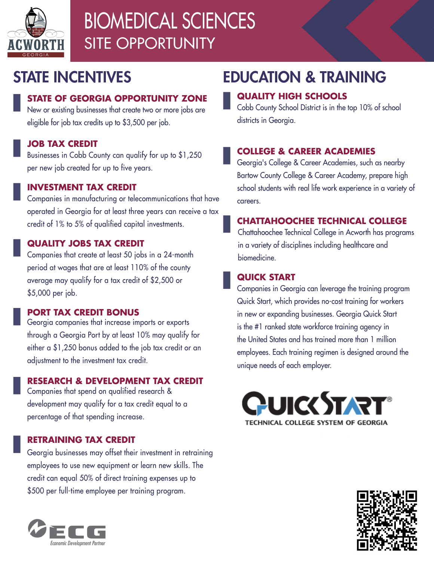

# BIOMEDICAL SCIENCES SITE OPPORTUNITY

### STATE INCENTIVES

#### **STATE OF GEORGIA OPPORTUNITY ZONE**

New or existing businesses that create two or more jobs are eligible for job tax credits up to \$3,500 per job.

#### **JOB TAX CREDIT**

Businesses in Cobb County can qualify for up to \$1,250 per new job created for up to five years.

#### **INVESTMENT TAX CREDIT**

Companies in manufacturing or telecommunications that have operated in Georgia for at least three years can receive a tax credit of 1% to 5% of qualified capital investments.

#### **QUALITY JOBS TAX CREDIT**

Companies that create at least 50 jobs in a 24-month period at wages that are at least 110% of the county average may qualify for a tax credit of \$2,500 or \$5,000 per job.

#### **PORT TAX CREDIT BONUS**

Georgia companies that increase imports or exports through a Georgia Port by at least 10% may qualify for either a \$1,250 bonus added to the job tax credit or an adjustment to the investment tax credit.

#### **RESEARCH & DEVELOPMENT TAX CREDIT**

Companies that spend on qualified research & development may qualify for a tax credit equal to a percentage of that spending increase.

#### **RETRAINING TAX CREDIT**

Georgia businesses may offset their investment in retraining employees to use new equipment or learn new skills. The credit can equal 50% of direct training expenses up to \$500 per full-time employee per training program.



### EDUCATION & TRAINING

#### **QUALITY HIGH SCHOOLS**

Cobb County School District is in the top 10% of school districts in Georgia.

#### **COLLEGE & CAREER ACADEMIES**

Georgia's College & Career Academies, such as nearby Bartow County College & Career Academy, prepare high school students with real life work experience in a variety of careers.

#### **CHATTAHOOCHEE TECHNICAL COLLEGE**

Chattahoochee Technical College in Acworth has programs in a variety of disciplines including healthcare and biomedicine.

#### **QUICK START**

Companies in Georgia can leverage the training program Quick Start, which provides no-cost training for workers in new or expanding businesses. Georgia Quick Start is the #1 ranked state workforce training agency in the United States and has trained more than 1 million employees. Each training regimen is designed around the unique needs of each employer.



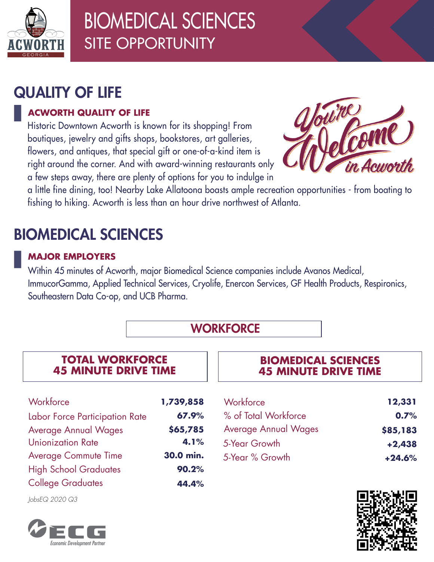

# BIOMEDICAL SCIENCES SITE OPPORTUNITY

### QUALITY OF LIFE

#### **ACWORTH QUALITY OF LIFE**

Historic Downtown Acworth is known for its shopping! From boutiques, jewelry and gifts shops, bookstores, art galleries, flowers, and antiques, that special gift or one-of-a-kind item is right around the corner. And with award-winning restaurants only a few steps away, there are plenty of options for you to indulge in



a little fine dining, too! Nearby Lake Allatoona boasts ample recreation opportunities - from boating to fishing to hiking. Acworth is less than an hour drive northwest of Atlanta.

# BIOMEDICAL SCIENCES

#### **MAJOR EMPLOYERS**

Within 45 minutes of Acworth, major Biomedical Science companies include Avanos Medical, ImmucorGamma, Applied Technical Services, Cryolife, Enercon Services, GF Health Products, Respironics, Southeastern Data Co-op, and UCB Pharma.

### **WORKFORCE**

#### **TOTAL WORKFORCE 45 MINUTE DRIVE TIME**

| Workforce                      | 1,739,858 |
|--------------------------------|-----------|
| Labor Force Participation Rate | 67.9%     |
| <b>Average Annual Wages</b>    | \$65,785  |
| <b>Unionization Rate</b>       | 4.1%      |
| <b>Average Commute Time</b>    | 30.0 min. |
| <b>High School Graduates</b>   | 90.2%     |
| <b>College Graduates</b>       | 44.4%     |

#### **BIOMEDICAL SCIENCES 45 MINUTE DRIVE TIME**

| Workforce                   | 12,331   |
|-----------------------------|----------|
| % of Total Workforce        | 0.7%     |
| <b>Average Annual Wages</b> | \$85,183 |
| 5-Year Growth               | $+2,438$ |
| 5-Year % Growth             | $+24.6%$ |



*JobsEQ 2020 Q3*